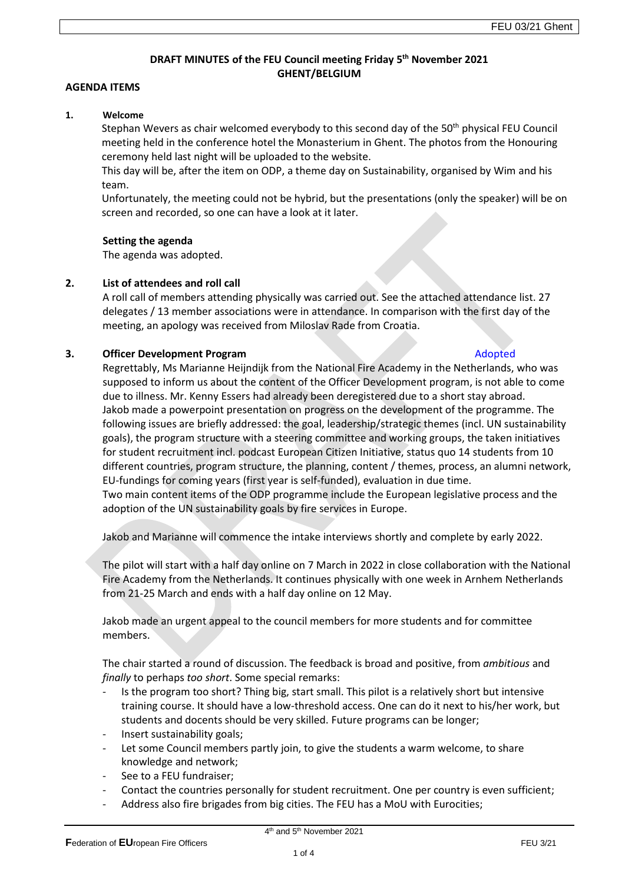# **DRAFT MINUTES of the FEU Council meeting Friday 5 th November 2021 GHENT/BELGIUM**

## **AGENDA ITEMS**

### **1. Welcome**

Stephan Wevers as chair welcomed everybody to this second day of the 50<sup>th</sup> physical FEU Council meeting held in the conference hotel the Monasterium in Ghent. The photos from the Honouring ceremony held last night will be uploaded to the website.

This day will be, after the item on ODP, a theme day on Sustainability, organised by Wim and his team.

Unfortunately, the meeting could not be hybrid, but the presentations (only the speaker) will be on screen and recorded, so one can have a look at it later.

## **Setting the agenda**

The agenda was adopted.

## **2. List of attendees and roll call**

A roll call of members attending physically was carried out. See the attached attendance list. 27 delegates / 13 member associations were in attendance. In comparison with the first day of the meeting, an apology was received from Miloslav Rade from Croatia.

## **3.** Officer Development Program Adopted Adopted Adopted Adopted Adopted Adopted Adopted Adopted Adopted Adopted Adopted Adopted Adopted Adopted Adopted Adopted Adopted Adopted Adopted Adopted Adopted Adopted Adopted Adopt

Regrettably, Ms Marianne Heijndijk from the National Fire Academy in the Netherlands, who was supposed to inform us about the content of the Officer Development program, is not able to come due to illness. Mr. Kenny Essers had already been deregistered due to a short stay abroad. Jakob made a powerpoint presentation on progress on the development of the programme. The following issues are briefly addressed: the goal, leadership/strategic themes (incl. UN sustainability goals), the program structure with a steering committee and working groups, the taken initiatives for student recruitment incl. podcast European Citizen Initiative, status quo 14 students from 10 different countries, program structure, the planning, content / themes, process, an alumni network, EU-fundings for coming years (first year is self-funded), evaluation in due time. Two main content items of the ODP programme include the European legislative process and the adoption of the UN sustainability goals by fire services in Europe.

Jakob and Marianne will commence the intake interviews shortly and complete by early 2022.

The pilot will start with a half day online on 7 March in 2022 in close collaboration with the National Fire Academy from the Netherlands. It continues physically with one week in Arnhem Netherlands from 21-25 March and ends with a half day online on 12 May.

Jakob made an urgent appeal to the council members for more students and for committee members.

The chair started a round of discussion. The feedback is broad and positive, from *ambitious* and *finally* to perhaps *too short*. Some special remarks:

- Is the program too short? Thing big, start small. This pilot is a relatively short but intensive training course. It should have a low-threshold access. One can do it next to his/her work, but students and docents should be very skilled. Future programs can be longer;
- Insert sustainability goals;
- Let some Council members partly join, to give the students a warm welcome, to share knowledge and network;
- See to a FEU fundraiser;
- Contact the countries personally for student recruitment. One per country is even sufficient;
- Address also fire brigades from big cities. The FEU has a MoU with Eurocities;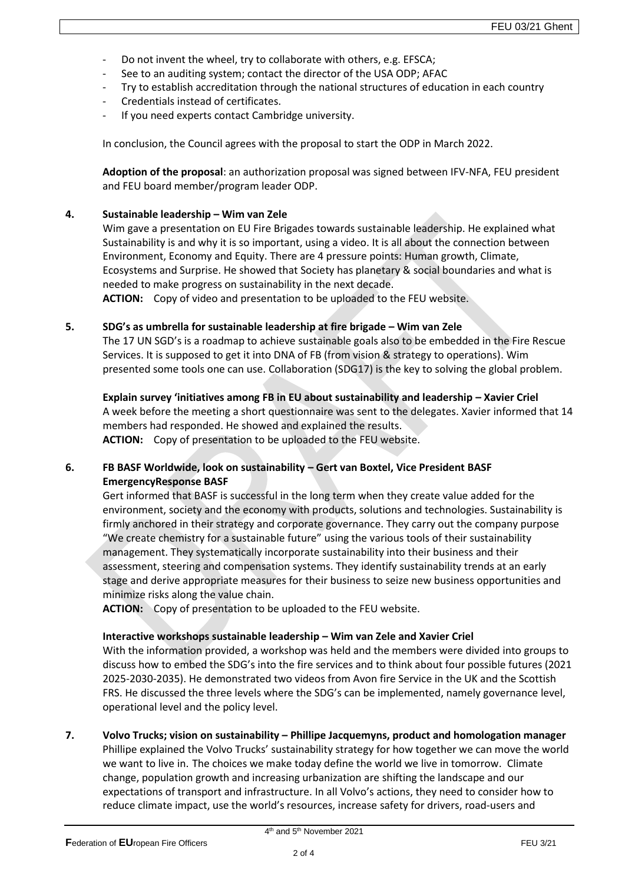- Do not invent the wheel, try to collaborate with others, e.g. EFSCA;
- See to an auditing system; contact the director of the USA ODP; AFAC
- Try to establish accreditation through the national structures of education in each country
- Credentials instead of certificates.
- If you need experts contact Cambridge university.

In conclusion, the Council agrees with the proposal to start the ODP in March 2022.

**Adoption of the proposal**: an authorization proposal was signed between IFV-NFA, FEU president and FEU board member/program leader ODP.

## **4. Sustainable leadership – Wim van Zele**

Wim gave a presentation on EU Fire Brigades towards sustainable leadership. He explained what Sustainability is and why it is so important, using a video. It is all about the connection between Environment, Economy and Equity. There are 4 pressure points: Human growth, Climate, Ecosystems and Surprise. He showed that Society has planetary & social boundaries and what is needed to make progress on sustainability in the next decade. **ACTION:** Copy of video and presentation to be uploaded to the FEU website.

### **5. SDG's as umbrella for sustainable leadership at fire brigade – Wim van Zele**

The 17 UN SGD's is a roadmap to achieve sustainable goals also to be embedded in the Fire Rescue Services. It is supposed to get it into DNA of FB (from vision & strategy to operations). Wim presented some tools one can use. Collaboration (SDG17) is the key to solving the global problem.

**Explain survey 'initiatives among FB in EU about sustainability and leadership – Xavier Criel**  A week before the meeting a short questionnaire was sent to the delegates. Xavier informed that 14 members had responded. He showed and explained the results. **ACTION:** Copy of presentation to be uploaded to the FEU website.

# **6. FB BASF Worldwide, look on sustainability – Gert van Boxtel, Vice President BASF EmergencyResponse BASF**

Gert informed that BASF is successful in the long term when they create value added for the environment, society and the economy with products, solutions and technologies. Sustainability is firmly anchored in their strategy and corporate governance. They carry out the company purpose "We create chemistry for a sustainable future" using the various tools of their sustainability management. They systematically incorporate sustainability into their business and their assessment, steering and compensation systems. They identify sustainability trends at an early stage and derive appropriate measures for their business to seize new business opportunities and minimize risks along the value chain.

**ACTION:** Copy of presentation to be uploaded to the FEU website.

## **Interactive workshops sustainable leadership – Wim van Zele and Xavier Criel**

With the information provided, a workshop was held and the members were divided into groups to discuss how to embed the SDG's into the fire services and to think about four possible futures (2021 2025-2030-2035). He demonstrated two videos from Avon fire Service in the UK and the Scottish FRS. He discussed the three levels where the SDG's can be implemented, namely governance level, operational level and the policy level.

## **7. Volvo Trucks; vision on sustainability – Phillipe Jacquemyns, product and homologation manager**

Phillipe explained the Volvo Trucks' sustainability strategy for how together we can move the world we want to live in. The choices we make today define the world we live in tomorrow. Climate change, population growth and increasing urbanization are shifting the landscape and our expectations of transport and infrastructure. In all Volvo's actions, they need to consider how to reduce climate impact, use the world's resources, increase safety for drivers, road-users and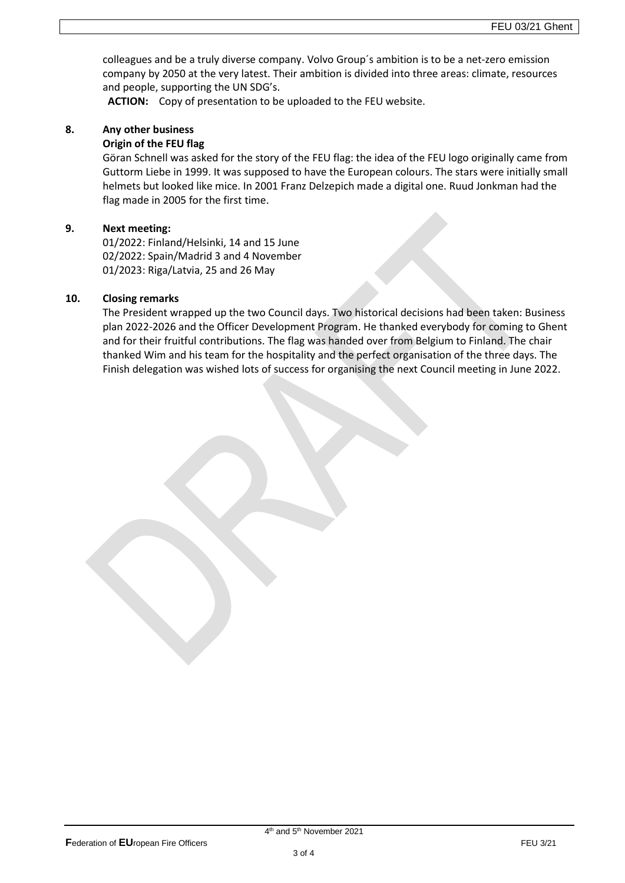colleagues and be a truly diverse company. Volvo Group´s ambition is to be a net-zero emission company by 2050 at the very latest. Their ambition is divided into three areas: climate, resources and people, supporting the UN SDG's.

**ACTION:** Copy of presentation to be uploaded to the FEU website.

# **8. Any other business**

## **Origin of the FEU flag**

Göran Schnell was asked for the story of the FEU flag: the idea of the FEU logo originally came from Guttorm Liebe in 1999. It was supposed to have the European colours. The stars were initially small helmets but looked like mice. In 2001 Franz Delzepich made a digital one. Ruud Jonkman had the flag made in 2005 for the first time.

## **9. Next meeting:**

01/2022: Finland/Helsinki, 14 and 15 June 02/2022: Spain/Madrid 3 and 4 November 01/2023: Riga/Latvia, 25 and 26 May

## **10. Closing remarks**

The President wrapped up the two Council days. Two historical decisions had been taken: Business plan 2022-2026 and the Officer Development Program. He thanked everybody for coming to Ghent and for their fruitful contributions. The flag was handed over from Belgium to Finland. The chair thanked Wim and his team for the hospitality and the perfect organisation of the three days. The Finish delegation was wished lots of success for organising the next Council meeting in June 2022.